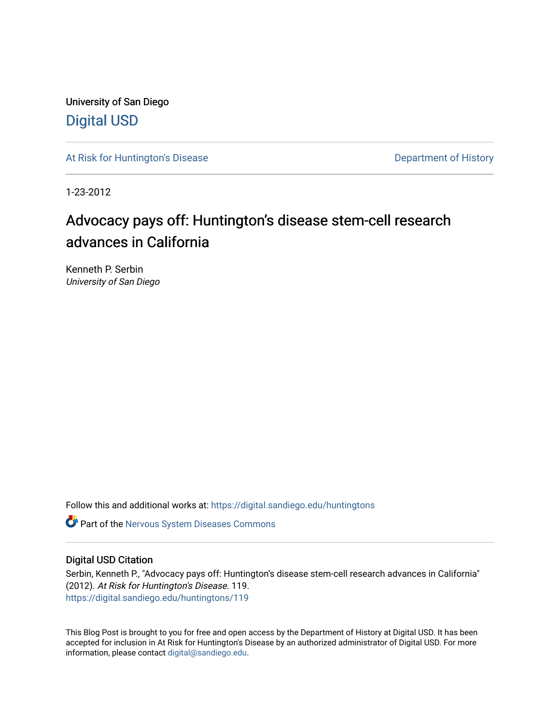University of San Diego [Digital USD](https://digital.sandiego.edu/)

[At Risk for Huntington's Disease](https://digital.sandiego.edu/huntingtons) **Department of History** Department of History

1-23-2012

## Advocacy pays off: Huntington's disease stem-cell research advances in California

Kenneth P. Serbin University of San Diego

Follow this and additional works at: [https://digital.sandiego.edu/huntingtons](https://digital.sandiego.edu/huntingtons?utm_source=digital.sandiego.edu%2Fhuntingtons%2F119&utm_medium=PDF&utm_campaign=PDFCoverPages)

**C** Part of the [Nervous System Diseases Commons](http://network.bepress.com/hgg/discipline/928?utm_source=digital.sandiego.edu%2Fhuntingtons%2F119&utm_medium=PDF&utm_campaign=PDFCoverPages)

## Digital USD Citation

Serbin, Kenneth P., "Advocacy pays off: Huntington's disease stem-cell research advances in California" (2012). At Risk for Huntington's Disease. 119. [https://digital.sandiego.edu/huntingtons/119](https://digital.sandiego.edu/huntingtons/119?utm_source=digital.sandiego.edu%2Fhuntingtons%2F119&utm_medium=PDF&utm_campaign=PDFCoverPages)

This Blog Post is brought to you for free and open access by the Department of History at Digital USD. It has been accepted for inclusion in At Risk for Huntington's Disease by an authorized administrator of Digital USD. For more information, please contact [digital@sandiego.edu.](mailto:digital@sandiego.edu)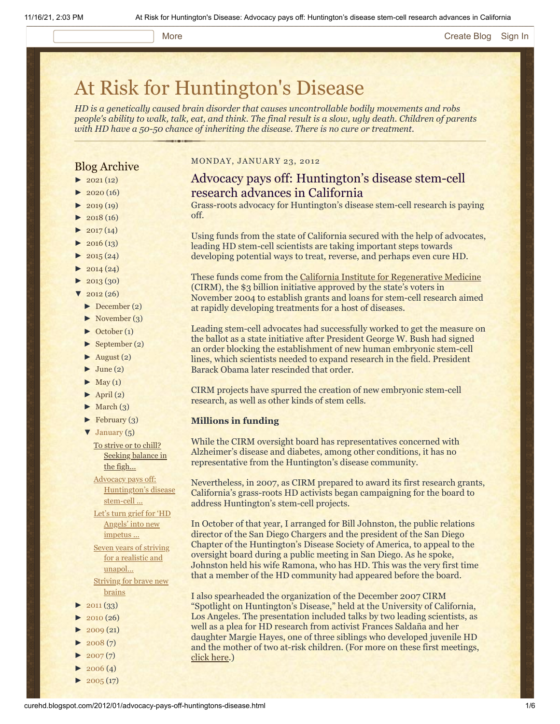## More **[Create Blog](https://www.blogger.com/home#create) [Sign In](https://www.blogger.com/)**

# [At Risk for Huntington's Disease](http://curehd.blogspot.com/)

*HD is a genetically caused brain disorder that causes uncontrollable bodily movements and robs people's ability to walk, talk, eat, and think. The final result is a slow, ugly death. Children of parents with HD have a 50-50 chance of inheriting the disease. There is no cure or treatment.*

## Blog Archive

- $\blacktriangleright$  [2021](http://curehd.blogspot.com/2021/)(12)
- $2020(16)$  $2020(16)$
- $2019(19)$  $2019(19)$
- $\blacktriangleright$  [2018](http://curehd.blogspot.com/2018/) (16)
- $2017(14)$  $2017(14)$
- $2016(13)$  $2016(13)$  $\blacktriangleright$  [2015](http://curehd.blogspot.com/2015/) (24)
- 
- $\blacktriangleright$  [2014](http://curehd.blogspot.com/2014/) (24)  $\blacktriangleright$  [2013](http://curehd.blogspot.com/2013/) (30)
- $\frac{1}{2012}(26)$  $\frac{1}{2012}(26)$  $\frac{1}{2012}(26)$
- [►](javascript:void(0)) [December](http://curehd.blogspot.com/2012/12/) (2)
	- $\blacktriangleright$  [November](http://curehd.blogspot.com/2012/11/) (3)
	- [►](javascript:void(0)) [October](http://curehd.blogspot.com/2012/10/) (1)
	- [►](javascript:void(0)) [September](http://curehd.blogspot.com/2012/09/) (2)
	-
	- $\blacktriangleright$  [August](http://curehd.blogspot.com/2012/08/) (2)  $\blacktriangleright$  [June](http://curehd.blogspot.com/2012/06/) (2)
	-
	- $\blacktriangleright$  [May](http://curehd.blogspot.com/2012/05/) (1)  $\blacktriangleright$  [April](http://curehd.blogspot.com/2012/04/) (2)
	- $\blacktriangleright$  [March](http://curehd.blogspot.com/2012/03/) (3)
	- $\blacktriangleright$  [February](http://curehd.blogspot.com/2012/02/) (3)
	-
	- [▼](javascript:void(0)) [January](http://curehd.blogspot.com/2012/01/) (5)

To strive or to chill? [Seeking](http://curehd.blogspot.com/2012/01/to-strive-or-to-chill-seeking-balance.html) balance in the figh...

Advocacy pays off: [Huntington's](http://curehd.blogspot.com/2012/01/advocacy-pays-off-huntingtons-disease.html) disease stem-cell ...

Let's turn grief for 'HD Angels' into new [impetus](http://curehd.blogspot.com/2012/01/lets-turn-grief-for-hd-angels-into-new.html) ...

Seven years of striving for a realistic and [unapol...](http://curehd.blogspot.com/2012/01/seven-years-of-striving-for-realistic.html) [Striving](http://curehd.blogspot.com/2012/01/striving-for-brave-new-brains.html) for brave new

- brains
- $2011(33)$  $2011(33)$
- $2010(26)$  $2010(26)$
- $2009(21)$  $2009(21)$
- $2008(7)$  $2008(7)$
- $2007(7)$  $2007(7)$
- $\blacktriangleright$  [2006](http://curehd.blogspot.com/2006/) (4)
- $\blacktriangleright$  [2005](http://curehd.blogspot.com/2005/) (17)

#### MONDAY, JANUARY 23, 2012

## Advocacy pays off: Huntington's disease stem-cell research advances in California

Grass-roots advocacy for Huntington's disease stem-cell research is paying off.

Using funds from the state of California secured with the help of advocates, leading HD stem-cell scientists are taking important steps towards developing potential ways to treat, reverse, and perhaps even cure HD.

These funds come from the [California Institute for Regenerative Medicine](http://www.cirm.ca.gov/) (CIRM), the \$3 billion initiative approved by the state's voters in November 2004 to establish grants and loans for stem-cell research aimed at rapidly developing treatments for a host of diseases.

Leading stem-cell advocates had successfully worked to get the measure on the ballot as a state initiative after President George W. Bush had signed an order blocking the establishment of new human embryonic stem-cell lines, which scientists needed to expand research in the field. President Barack Obama later rescinded that order.

CIRM projects have spurred the creation of new embryonic stem-cell research, as well as other kinds of stem cells.

#### **Millions in funding**

While the CIRM oversight board has representatives concerned with Alzheimer's disease and diabetes, among other conditions, it has no representative from the Huntington's disease community.

Nevertheless, in 2007, as CIRM prepared to award its first research grants, California's grass-roots HD activists began campaigning for the board to address Huntington's stem-cell projects.

In October of that year, I arranged for Bill Johnston, the public relations director of the San Diego Chargers and the president of the San Diego Chapter of the Huntington's Disease Society of America, to appeal to the oversight board during a public meeting in San Diego. As he spoke, Johnston held his wife Ramona, who has HD. This was the very first time that a member of the HD community had appeared before the board.

I also spearheaded the organization of the December 2007 CIRM "Spotlight on Huntington's Disease," held at the University of California, Los Angeles. The presentation included talks by two leading scientists, as well as a plea for HD research from activist Frances Saldaña and her daughter Margie Hayes, one of three siblings who developed juvenile HD and the mother of two at-risk children. (For more on these first meetings, [click here](http://www.hdsasandiego.org/aev-14.aspx).)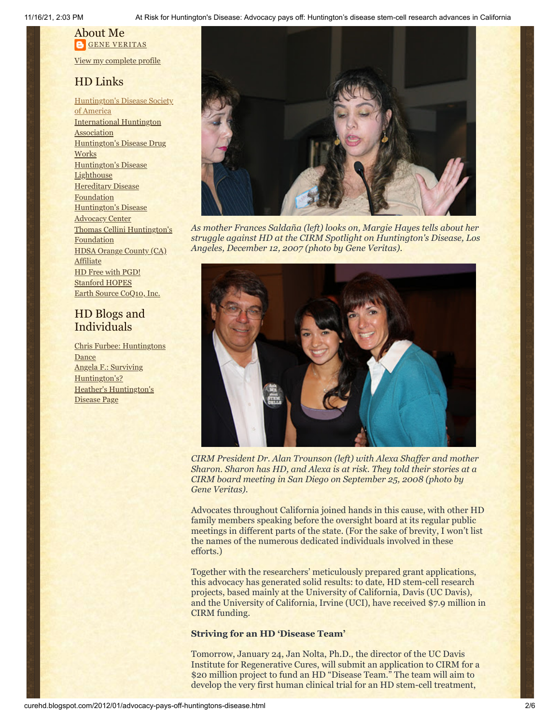11/16/21, 2:03 PM At Risk for Huntington's Disease: Advocacy pays off: Huntington's disease stem-cell research advances in California

## About Me **GENE [VERITAS](https://www.blogger.com/profile/10911736205741688185)**

View my [complete](https://www.blogger.com/profile/10911736205741688185) profile

## HD Links

[Huntington's](http://www.hdsa.org/) Disease Society of America [International](http://www.huntington-assoc.com/) Huntington Association [Huntington's](http://hddrugworks.org/) Disease Drug **Works** [Huntington's](http://www.hdlighthouse.org/) Disease **Lighthouse Hereditary Disease** [Foundation](http://www.hdfoundation.org/) [Huntington's](http://www.hdac.org/) Disease **Advocacy Center** Thomas [Cellini Huntington's](http://www.ourtchfoundation.org/) **Foundation** HDSA Orange County (CA) **[Affiliate](http://www.hdsaoc.org/)** HD Free with [PGD!](http://www.hdfreewithpgd.com/) [Stanford](http://www.stanford.edu/group/hopes/) HOPES Earth Source [CoQ10,](http://www.escoq10.com/) Inc.

## HD Blogs and Individuals

Chris Furbee: [Huntingtons](http://www.huntingtonsdance.org/) **Dance** Angela F.: Surviving [Huntington's?](http://survivinghuntingtons.blogspot.com/) Heather's [Huntington's](http://heatherdugdale.angelfire.com/) Disease Page



*As mother Frances Saldaña (left) looks on, Margie Hayes tells about her struggle against HD at the CIRM Spotlight on Huntington's Disease, Los Angeles, December 12, 2007 (photo by Gene Veritas).*



*CIRM President Dr. Alan Trounson (left) with Alexa Shaffer and mother Sharon. Sharon has HD, and Alexa is at risk. They told their stories at a CIRM board meeting in San Diego on September 25, 2008 (photo by Gene Veritas).*

Advocates throughout California joined hands in this cause, with other HD family members speaking before the oversight board at its regular public meetings in different parts of the state. (For the sake of brevity, I won't list the names of the numerous dedicated individuals involved in these efforts.)

Together with the researchers' meticulously prepared grant applications, this advocacy has generated solid results: to date, HD stem-cell research projects, based mainly at the University of California, Davis (UC Davis), and the University of California, Irvine (UCI), have received \$7.9 million in CIRM funding.

## **Striving for an HD 'Disease Team'**

Tomorrow, January 24, Jan Nolta, Ph.D., the director of the UC Davis Institute for Regenerative Cures, will submit an application to CIRM for a \$20 million project to fund an HD "Disease Team." The team will aim to develop the very first human clinical trial for an HD stem-cell treatment,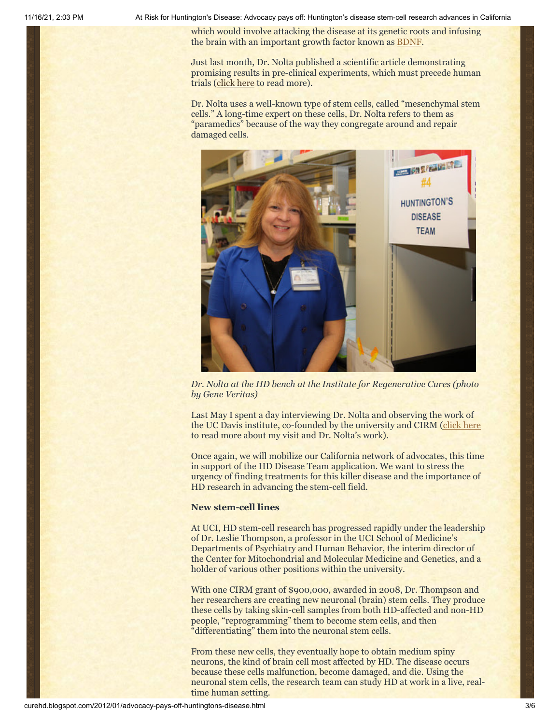11/16/21, 2:03 PM At Risk for Huntington's Disease: Advocacy pays off: Huntington's disease stem-cell research advances in California

which would involve attacking the disease at its genetic roots and infusing the brain with an important growth factor known as [BDNF](http://curehd.blogspot.com/2011/10/bdnf-and-neurobics-building-beautiful.html).

Just last month, Dr. Nolta published a scientific article demonstrating promising results in pre-clinical experiments, which must precede human trials [\(click here](http://www.healthcanal.com/disorders-conditions/25630-Davis-investigators-achieve-important-step-toward-treating-Huntingtons-disease.html) to read more).

Dr. Nolta uses a well-known type of stem cells, called "mesenchymal stem cells." A long-time expert on these cells, Dr. Nolta refers to them as "paramedics" because of the way they congregate around and repair damaged cells.



*Dr. Nolta at the HD bench at the Institute for Regenerative Cures (photo by Gene Veritas)*

Last May I spent a day interviewing Dr. Nolta and observing the work of the UC Davis institute, co-founded by the university and CIRM ([click here](http://curehd.blogspot.com/2011/05/huntingtons-community-rising-and.html) to read more about my visit and Dr. Nolta's work).

Once again, we will mobilize our California network of advocates, this time in support of the HD Disease Team application. We want to stress the urgency of finding treatments for this killer disease and the importance of HD research in advancing the stem-cell field.

### **New stem-cell lines**

At UCI, HD stem-cell research has progressed rapidly under the leadership of Dr. Leslie Thompson, a professor in the UCI School of Medicine's Departments of Psychiatry and Human Behavior, the interim director of the Center for Mitochondrial and Molecular Medicine and Genetics, and a holder of various other positions within the university.

With one CIRM grant of \$900,000, awarded in 2008, Dr. Thompson and her researchers are creating new neuronal (brain) stem cells. They produce these cells by taking skin-cell samples from both HD-affected and non-HD people, "reprogramming" them to become stem cells, and then "differentiating" them into the neuronal stem cells.

From these new cells, they eventually hope to obtain medium spiny neurons, the kind of brain cell most affected by HD. The disease occurs because these cells malfunction, become damaged, and die. Using the neuronal stem cells, the research team can study HD at work in a live, realtime human setting.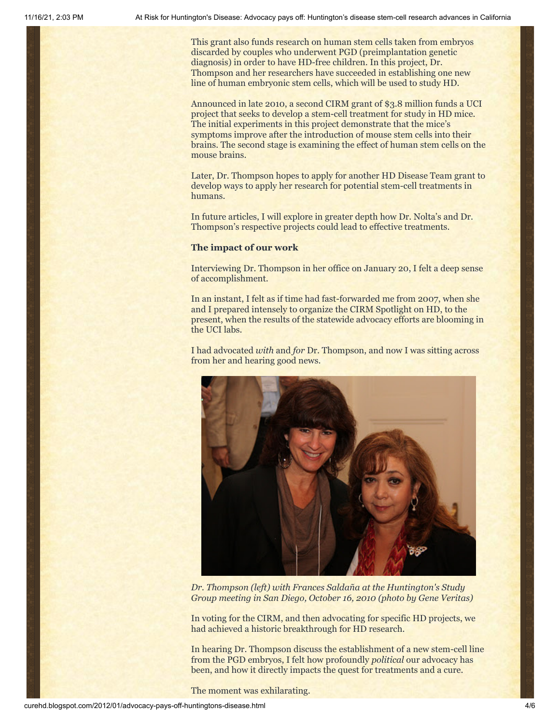This grant also funds research on human stem cells taken from embryos discarded by couples who underwent PGD (preimplantation genetic diagnosis) in order to have HD-free children. In this project, Dr. Thompson and her researchers have succeeded in establishing one new line of human embryonic stem cells, which will be used to study HD.

Announced in late 2010, a second CIRM grant of \$3.8 million funds a UCI project that seeks to develop a stem-cell treatment for study in HD mice. The initial experiments in this project demonstrate that the mice's symptoms improve after the introduction of mouse stem cells into their brains. The second stage is examining the effect of human stem cells on the mouse brains.

Later, Dr. Thompson hopes to apply for another HD Disease Team grant to develop ways to apply her research for potential stem-cell treatments in humans.

In future articles, I will explore in greater depth how Dr. Nolta's and Dr. Thompson's respective projects could lead to effective treatments.

#### **The impact of our work**

Interviewing Dr. Thompson in her office on January 20, I felt a deep sense of accomplishment.

In an instant, I felt as if time had fast-forwarded me from 2007, when she and I prepared intensely to organize the CIRM Spotlight on HD, to the present, when the results of the statewide advocacy efforts are blooming in the UCI labs.

I had advocated *with* and *for* Dr. Thompson, and now I was sitting across from her and hearing good news.



*Dr. Thompson (left) with Frances Saldaña at the Huntington's Study Group meeting in San Diego, October 16, 2010 (photo by Gene Veritas)*

In voting for the CIRM, and then advocating for specific HD projects, we had achieved a historic breakthrough for HD research.

In hearing Dr. Thompson discuss the establishment of a new stem-cell line from the PGD embryos, I felt how profoundly *political* our advocacy has been, and how it directly impacts the quest for treatments and a cure.

The moment was exhilarating.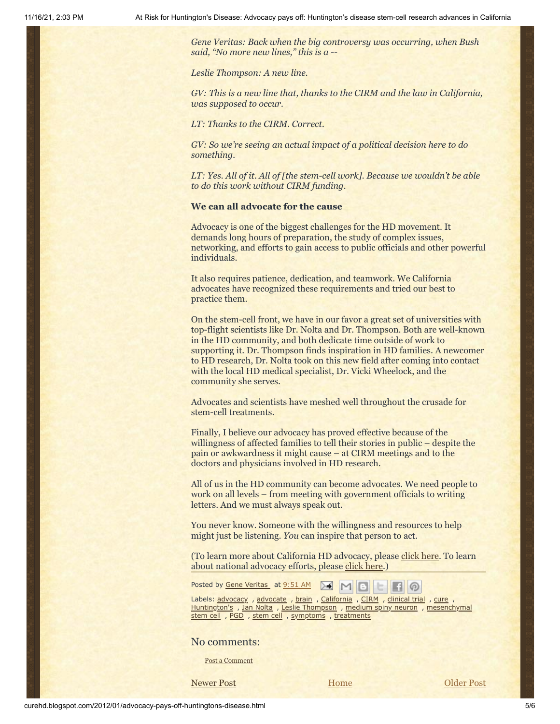*Gene Veritas: Back when the big controversy was occurring, when Bush said, "No more new lines," this is a --*

*Leslie Thompson: A new line.*

*GV: This is a new line that, thanks to the CIRM and the law in California, was supposed to occur.*

*LT: Thanks to the CIRM. Correct.*

*GV: So we're seeing an actual impact of a political decision here to do something.*

*LT: Yes. All of it. All of [the stem-cell work]. Because we wouldn't be able to do this work without CIRM funding.*

#### **We can all advocate for the cause**

Advocacy is one of the biggest challenges for the HD movement. It demands long hours of preparation, the study of complex issues, networking, and efforts to gain access to public officials and other powerful individuals.

It also requires patience, dedication, and teamwork. We California advocates have recognized these requirements and tried our best to practice them.

On the stem-cell front, we have in our favor a great set of universities with top-flight scientists like Dr. Nolta and Dr. Thompson. Both are well-known in the HD community, and both dedicate time outside of work to supporting it. Dr. Thompson finds inspiration in HD families. A newcomer to HD research, Dr. Nolta took on this new field after coming into contact with the local HD medical specialist, Dr. Vicki Wheelock, and the community she serves.

Advocates and scientists have meshed well throughout the crusade for stem-cell treatments.

Finally, I believe our advocacy has proved effective because of the willingness of affected families to tell their stories in public – despite the pain or awkwardness it might cause – at CIRM meetings and to the doctors and physicians involved in HD research.

All of us in the HD community can become advocates. We need people to work on all levels – from meeting with government officials to writing letters. And we must always speak out.

You never know. Someone with the willingness and resources to help might just be listening. *You* can inspire that person to act.

(To learn more about California HD advocacy, please [click here.](http://www.hdsasandiego.org/spv-20.aspx) To learn about national advocacy efforts, please [click here.](http://www.hdsa.org/advocacy))

Posted by Gene [Veritas](https://www.blogger.com/profile/03599828959793084715) at [9:51](http://curehd.blogspot.com/2012/01/advocacy-pays-off-huntingtons-disease.html) AM ≻€  $M$ 

Labels: [advocacy](http://curehd.blogspot.com/search/label/advocacy) , [advocate](http://curehd.blogspot.com/search/label/advocate) , [brain](http://curehd.blogspot.com/search/label/brain) , [California](http://curehd.blogspot.com/search/label/California) , [CIRM](http://curehd.blogspot.com/search/label/CIRM) , [clinical](http://curehd.blogspot.com/search/label/clinical%20trial) trial , [cure](http://curehd.blogspot.com/search/label/cure) , [Huntington's](http://curehd.blogspot.com/search/label/Huntington%27s) , Jan [Nolta](http://curehd.blogspot.com/search/label/Jan%20Nolta) , Leslie [Thompson](http://curehd.blogspot.com/search/label/Leslie%20Thompson) , [medium](http://curehd.blogspot.com/search/label/medium%20spiny%20neuron) spiny neuron , [mesenchymal](http://curehd.blogspot.com/search/label/mesenchymal%20stem%20cell) stem cell , [PGD](http://curehd.blogspot.com/search/label/PGD) , [stem](http://curehd.blogspot.com/search/label/stem%20cell) cell , [symptoms](http://curehd.blogspot.com/search/label/symptoms) , [treatments](http://curehd.blogspot.com/search/label/treatments)

### No comments:

Post a [Comment](https://www.blogger.com/comment.g?blogID=10081281&postID=8482177384217763026&isPopup=true)

[Newer Post](http://curehd.blogspot.com/2012/01/to-strive-or-to-chill-seeking-balance.html) **Newer Post [Older Post](http://curehd.blogspot.com/2012/01/lets-turn-grief-for-hd-angels-into-new.html) Older Post** 

∞